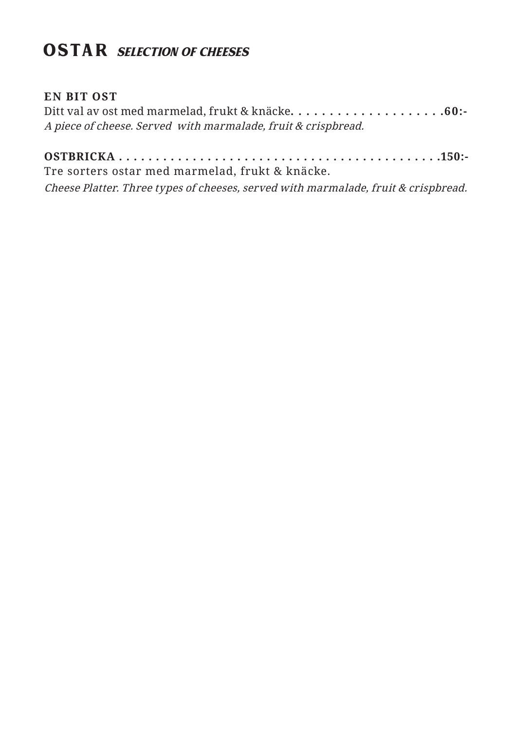## **OSTAR** SELECTION OF CHEESES

## **EN BIT OST**

Ditt val av ost med marmelad, frukt & knäcke**. . . . . . . . . . . . . . . . . . . .60:-** A piece of cheese. Served with marmalade, fruit & crispbread.

**OSTBRICKA . . . . . . . . . . . . . . . . . . . . . . . . . . . . . . . . . . . . . . . . . . . .150:-**  Tre sorters ostar med marmelad, frukt & knäcke.

Cheese Platter. Three types of cheeses, served with marmalade, fruit & crispbread.